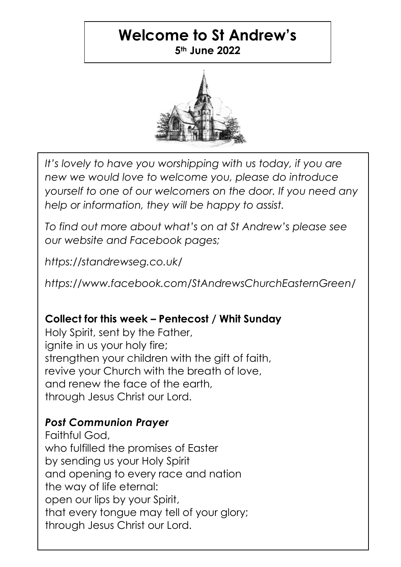# **Welcome to St Andrew's 5th June 2022**



*It's lovely to have you worshipping with us today, if you are new we would love to welcome you, please do introduce yourself to one of our welcomers on the door. If you need any help or information, they will be happy to assist.*

*To find out more about what's on at St Andrew's please see our website and Facebook pages;*

*https://standrewseg.co.uk/*

*https://www.facebook.com/StAndrewsChurchEasternGreen/*

## **Collect for this week – Pentecost / Whit Sunday**

Holy Spirit, sent by the Father, ignite in us your holy fire; strengthen your children with the gift of faith, revive your Church with the breath of love, and renew the face of the earth, through Jesus Christ our Lord.

## *Post Communion Prayer*

Faithful God, who fulfilled the promises of Easter by sending us your Holy Spirit and opening to every race and nation the way of life eternal: open our lips by your Spirit, that every tongue may tell of your glory; through Jesus Christ our Lord.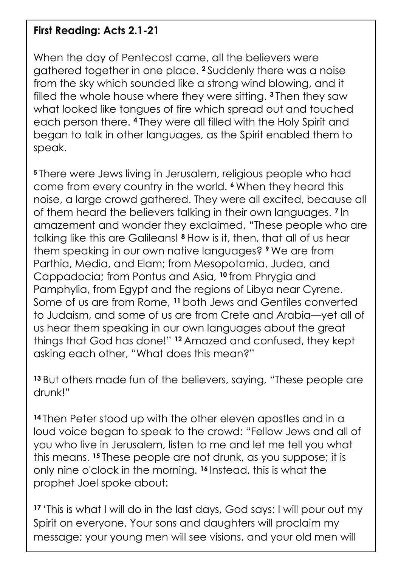#### **First Reading: Acts 2.1-21**

When the day of Pentecost came, all the believers were gathered together in one place. **<sup>2</sup>** Suddenly there was a noise from the sky which sounded like a strong wind blowing, and it filled the whole house where they were sitting. **<sup>3</sup>** Then they saw what looked like tongues of fire which spread out and touched each person there. **<sup>4</sup>** They were all filled with the Holy Spirit and began to talk in other languages, as the Spirit enabled them to speak.

**<sup>5</sup>** There were Jews living in Jerusalem, religious people who had come from every country in the world. **<sup>6</sup>** When they heard this noise, a large crowd gathered. They were all excited, because all of them heard the believers talking in their own languages. **<sup>7</sup>** In amazement and wonder they exclaimed, "These people who are talking like this are Galileans! **<sup>8</sup>** How is it, then, that all of us hear them speaking in our own native languages? **<sup>9</sup>** We are from Parthia, Media, and Elam; from Mesopotamia, Judea, and Cappadocia; from Pontus and Asia, **<sup>10</sup>** from Phrygia and Pamphylia, from Egypt and the regions of Libya near Cyrene. Some of us are from Rome, **<sup>11</sup>** both Jews and Gentiles converted to Judaism, and some of us are from Crete and Arabia—yet all of us hear them speaking in our own languages about the great things that God has done!" **<sup>12</sup>** Amazed and confused, they kept asking each other, "What does this mean?"

**<sup>13</sup>** But others made fun of the believers, saying, "These people are drunk!"

**<sup>14</sup>** Then Peter stood up with the other eleven apostles and in a loud voice began to speak to the crowd: "Fellow Jews and all of you who live in Jerusalem, listen to me and let me tell you what this means. **<sup>15</sup>** These people are not drunk, as you suppose; it is only nine o'clock in the morning. **<sup>16</sup>** Instead, this is what the prophet Joel spoke about:

**<sup>17</sup>** 'This is what I will do in the last days, God says: I will pour out my Spirit on everyone. Your sons and daughters will proclaim my message; your young men will see visions, and your old men will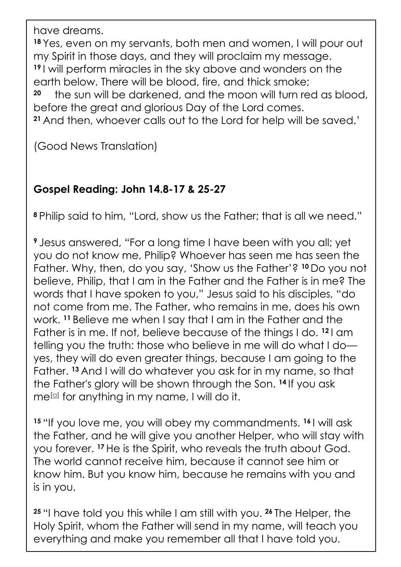have dreams.

**<sup>18</sup>** Yes, even on my servants, both men and women, I will pour out my Spirit in those days, and they will proclaim my message. **<sup>19</sup>** I will perform miracles in the sky above and wonders on the earth below. There will be blood, fire, and thick smoke; **20** the sun will be darkened, and the moon will turn red as blood, before the great and glorious Day of the Lord comes. **<sup>21</sup>** And then, whoever calls out to the Lord for help will be saved.'

(Good News Translation)

## **Gospel Reading: John 14.8-17 & 25-27**

**<sup>8</sup>** Philip said to him, "Lord, show us the Father; that is all we need."

**<sup>9</sup>** Jesus answered, "For a long time I have been with you all; yet you do not know me, Philip? Whoever has seen me has seen the Father. Why, then, do you say, 'Show us the Father'? **<sup>10</sup>** Do you not believe, Philip, that I am in the Father and the Father is in me? The words that I have spoken to you," Jesus said to his disciples, "do not come from me. The Father, who remains in me, does his own work. **<sup>11</sup>** Believe me when I say that I am in the Father and the Father is in me. If not, believe because of the things I do. **<sup>12</sup>** I am telling you the truth: those who believe in me will do what I do yes, they will do even greater things, because I am going to the Father. **<sup>13</sup>** And I will do whatever you ask for in my name, so that the Father's glory will be shown through the Son. **<sup>14</sup>** If you ask me[\[a\]](https://www.biblegateway.com/passage/?search=John+14.8-17+&version=GNT#fen-GNT-29722a) for anything in my name, I will do it.

**<sup>15</sup>** "If you love me, you will obey my commandments. **<sup>16</sup>** I will ask the Father, and he will give you another Helper, who will stay with you forever. **<sup>17</sup>** He is the Spirit, who reveals the truth about God. The world cannot receive him, because it cannot see him or know him. But you know him, because he remains with you and is in you.

**<sup>25</sup>** "I have told you this while I am still with you. **<sup>26</sup>** The Helper, the Holy Spirit, whom the Father will send in my name, will teach you everything and make you remember all that I have told you.